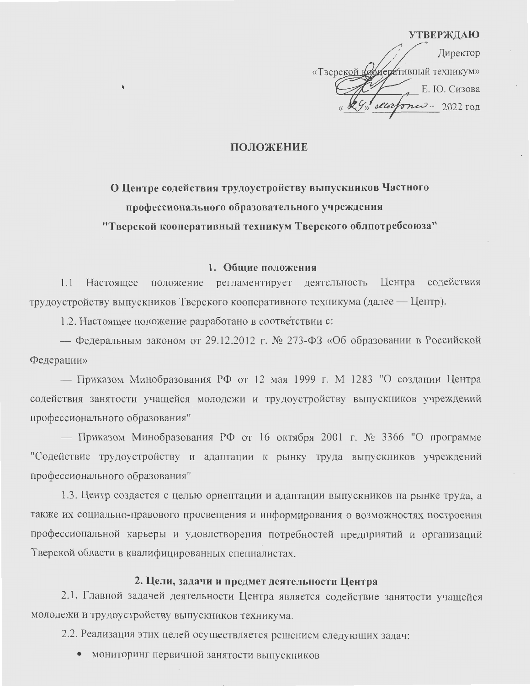#### **УТВЕРЖДАЮ**

Директор «Тверской кортеративный техникум» Е. Ю. Сизова alla  $3722 - 2022$   $\text{LOL}$ 

## ПОЛОЖЕНИЕ

О Центре содействия трудоустройству выпускников Частного профессионального образовательного учреждения "Тверской кооперативный техникум Тверского облпотребсоюза"

### 1. Общие положения

1.1 Настоящее положение регламентирует деятельность Центра содействия трудоустройству выпускников Тверского кооперативного техникума (далее — Центр).

1.2. Настоящее положение разработано в соответствии с:

— Федеральным законом от 29.12.2012 г. № 273-ФЗ «Об образовании в Российской Федерации»

— Приказом Минобразования РФ от 12 мая 1999 г. М 1283 "О создании Центра содействия занятости учащейся молодежи и трудоустройству выпускников учреждений профессионального образования"

— Приказом Минобразования РФ от 16 октября 2001 г. № 3366 "О программе "Содействие трудоустройству и адаптации к рынку труда выпускников учреждений профессионального образования"

1.3. Центр создается с целью ориентации и адаптации выпускников на рынке труда, а также их социально-правового просвещения и информирования о возможностях построения профессиональной карьеры и удовлетворения потребностей предприятий и организаций Тверской области в квалифицированных специалистах.

### 2. Цели, задачи и предмет деятельности Центра

2.1. Главной задачей деятельности Центра является содействие занятости учащейся молодежи и трудоустройству выпускников техникума.

2.2. Реализация этих целей осуществляется решением следующих задач:

• мониторинг первичной занятости выпускников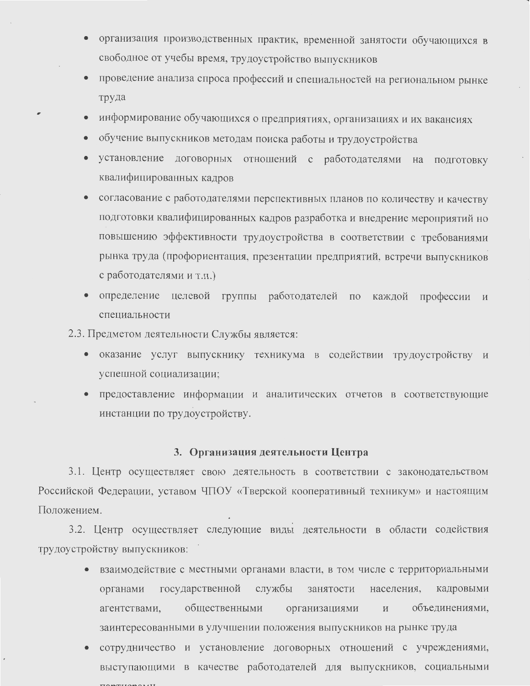- организация производственных практик, временной занятости обучающихся в свободное от учебы время, трудоустройство выпускников
- проведение анализа спроса профессий и специальностей на региональном рынке труда
- информирование обучающихся о предприятиях, организациях и их вакансиях
- обучение выпускников методам поиска работы и трудоустройства
- установление договорных отношений с работодателями на подготовку квалифицированных кадров
- согласование с работодателями перспективных планов по количеству и качеству подготовки квалифицированных кадров разработка и внедрение мероприятий но повышению эффективности трудоустройства в соответствии с требованиями рынка труда (профориентация, презентации предприятий, встречи выпускников с работодателями и т.п.)
- определение целевой группы работодателей по каждой профессии и специальности

2.3. Предметом деятельности Службы является:

- оказание услуг выпускнику техникума в содействии трудоустройству и успешной социализации;
- предоставление информации и аналитических отчетов в соответствующие инстанции по трудоустройству.

# 3. Организация деятельности Центра

3.1. Центр осуществляет свою деятельность в соответствии с законодательством Российской Федерации, уставом ЧПОУ «Тверской кооперативный техникум» и настоящим Положением.

3.2. Центр осуществляет следующие виды деятельности в области содействия трудоустройству выпускников:

- взаимодействие с местными органами власти, в том числе с территориальными государственной службы населения, занятости кадровыми органами общественными объединениями, агентствами, организациями заинтересованными в улучшении положения выпускников на рынке труда
- сотрудничество и установление договорных отношений с учреждениями, выступающими в качестве работодателей для выпускников, социальными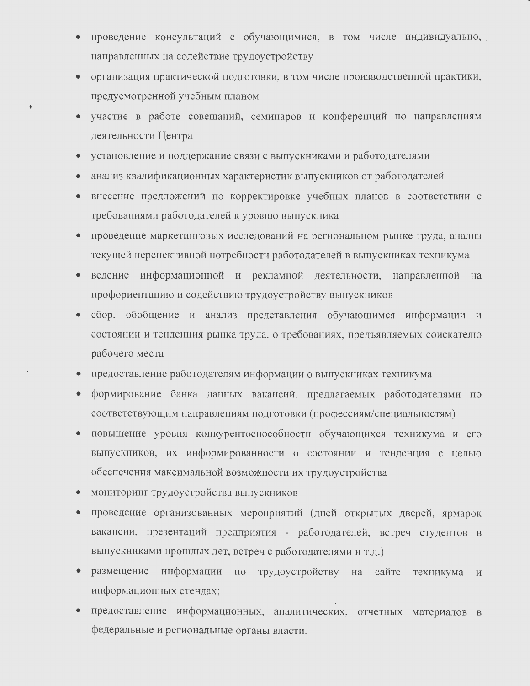- проведение консультаций с обучающимися, в том числе индивидуально, направленных на содействие трудоустройству
- организация практической подготовки, в том числе производственной практики,  $\bullet$ предусмотренной учебным планом
- участие в работе совещаний, семинаров и конференций по направлениям деятельности Центра
- установление и поддержание связи с выпускниками и работодателями
- анализ квалификационных характеристик выпускников от работодателей
- внесение предложений по корректировке учебных планов в соответствии с  $\bullet$ требованиями работодателей к уровню выпускника
- проведение маркетинговых исследований на региональном рынке труда, анализ  $\bullet$ текущей перспективной потребности работодателей в выпускниках техникума
- ведение информационной и рекламной деятельности, направленной  $\bullet$ на профориентацию и содействию трудоустройству выпускников
- сбор, обобщение и анализ представления обучающимся информации и  $\bullet$ состоянии и тенденция рынка труда, о требованиях, предъявляемых соискателю рабочего места
- предоставление работодателям информации о выпускниках техникума  $\bullet$
- формирование банка данных вакансий, предлагаемых работодателями по соответствующим направлениям подготовки (профессиям/специальностям)
- повышение уровня конкурентоспособности обучающихся техникума и его  $\bullet$ выпускников, их информированности о состоянии и тенденция с целью обеспечения максимальной возможности их трудоустройства
- мониторинг трудоустройства выпускников  $\bullet$
- проведение организованных мероприятий (дней открытых дверей, ярмарок вакансии, презентаций предприятия - работодателей, встреч студентов в выпускниками прошлых лет, встреч с работодателями и т.д.)
- информации по трудоустройству на размещение сайте техникума  $\overline{M}$ информационных стендах;
- $\bullet$ предоставление информационных, аналитических, отчетных материалов в федеральные и региональные органы власти.